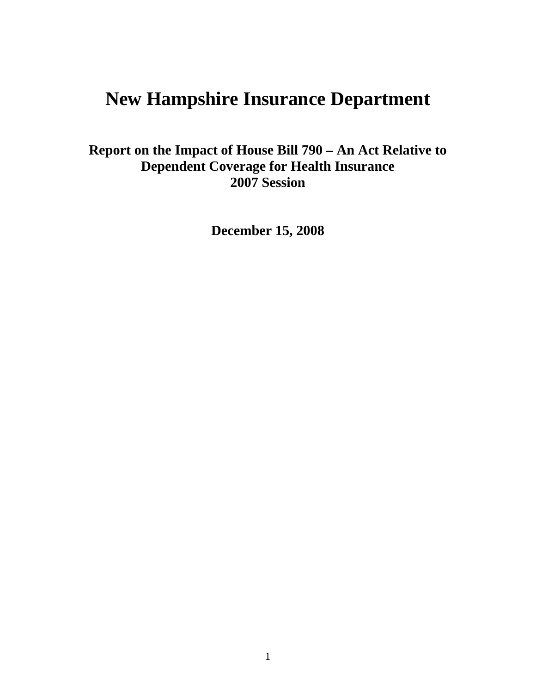# **New Hampshire Insurance Department**

**Report on the Impact of House Bill 790 – An Act Relative to Dependent Coverage for Health Insurance 2007 Session** 

**December 15, 2008**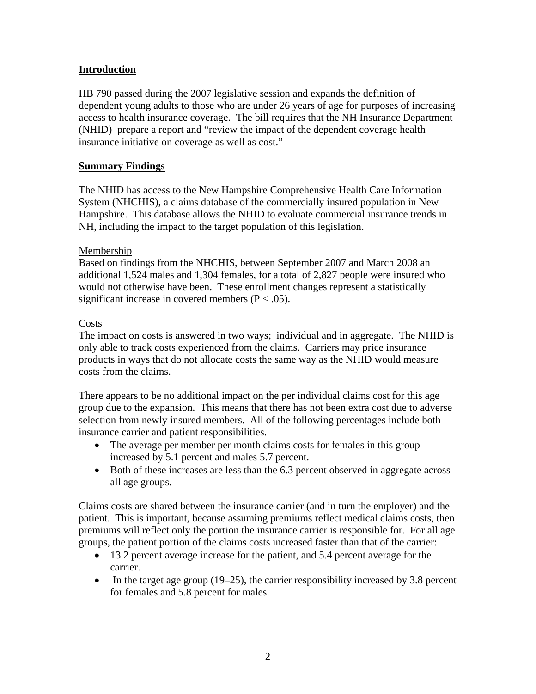# **Introduction**

HB 790 passed during the 2007 legislative session and expands the definition of dependent young adults to those who are under 26 years of age for purposes of increasing access to health insurance coverage. The bill requires that the NH Insurance Department (NHID) prepare a report and "review the impact of the dependent coverage health insurance initiative on coverage as well as cost."

## **Summary Findings**

The NHID has access to the New Hampshire Comprehensive Health Care Information System (NHCHIS), a claims database of the commercially insured population in New Hampshire. This database allows the NHID to evaluate commercial insurance trends in NH, including the impact to the target population of this legislation.

## Membership

Based on findings from the NHCHIS, between September 2007 and March 2008 an additional 1,524 males and 1,304 females, for a total of 2,827 people were insured who would not otherwise have been. These enrollment changes represent a statistically significant increase in covered members ( $P < .05$ ).

#### **Costs**

The impact on costs is answered in two ways; individual and in aggregate. The NHID is only able to track costs experienced from the claims. Carriers may price insurance products in ways that do not allocate costs the same way as the NHID would measure costs from the claims.

There appears to be no additional impact on the per individual claims cost for this age group due to the expansion. This means that there has not been extra cost due to adverse selection from newly insured members. All of the following percentages include both insurance carrier and patient responsibilities.

- The average per member per month claims costs for females in this group increased by 5.1 percent and males 5.7 percent.
- Both of these increases are less than the 6.3 percent observed in aggregate across all age groups.

Claims costs are shared between the insurance carrier (and in turn the employer) and the patient. This is important, because assuming premiums reflect medical claims costs, then premiums will reflect only the portion the insurance carrier is responsible for. For all age groups, the patient portion of the claims costs increased faster than that of the carrier:

- 13.2 percent average increase for the patient, and 5.4 percent average for the carrier.
- In the target age group  $(19-25)$ , the carrier responsibility increased by 3.8 percent for females and 5.8 percent for males.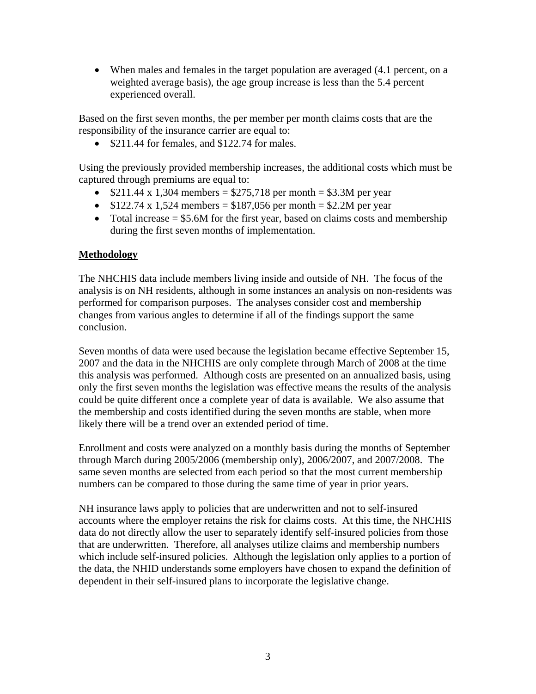• When males and females in the target population are averaged (4.1 percent, on a weighted average basis), the age group increase is less than the 5.4 percent experienced overall.

Based on the first seven months, the per member per month claims costs that are the responsibility of the insurance carrier are equal to:

• \$211.44 for females, and \$122.74 for males.

Using the previously provided membership increases, the additional costs which must be captured through premiums are equal to:

- $$211.44 \times 1,304$  members = \$275,718 per month = \$3.3M per year
- $$122.74 \times 1,524$  members = \$187,056 per month = \$2.2M per year
- Total increase  $= $5.6M$  for the first year, based on claims costs and membership during the first seven months of implementation.

# **Methodology**

The NHCHIS data include members living inside and outside of NH. The focus of the analysis is on NH residents, although in some instances an analysis on non-residents was performed for comparison purposes. The analyses consider cost and membership changes from various angles to determine if all of the findings support the same conclusion.

Seven months of data were used because the legislation became effective September 15, 2007 and the data in the NHCHIS are only complete through March of 2008 at the time this analysis was performed. Although costs are presented on an annualized basis, using only the first seven months the legislation was effective means the results of the analysis could be quite different once a complete year of data is available. We also assume that the membership and costs identified during the seven months are stable, when more likely there will be a trend over an extended period of time.

Enrollment and costs were analyzed on a monthly basis during the months of September through March during 2005/2006 (membership only), 2006/2007, and 2007/2008. The same seven months are selected from each period so that the most current membership numbers can be compared to those during the same time of year in prior years.

NH insurance laws apply to policies that are underwritten and not to self-insured accounts where the employer retains the risk for claims costs. At this time, the NHCHIS data do not directly allow the user to separately identify self-insured policies from those that are underwritten. Therefore, all analyses utilize claims and membership numbers which include self-insured policies. Although the legislation only applies to a portion of the data, the NHID understands some employers have chosen to expand the definition of dependent in their self-insured plans to incorporate the legislative change.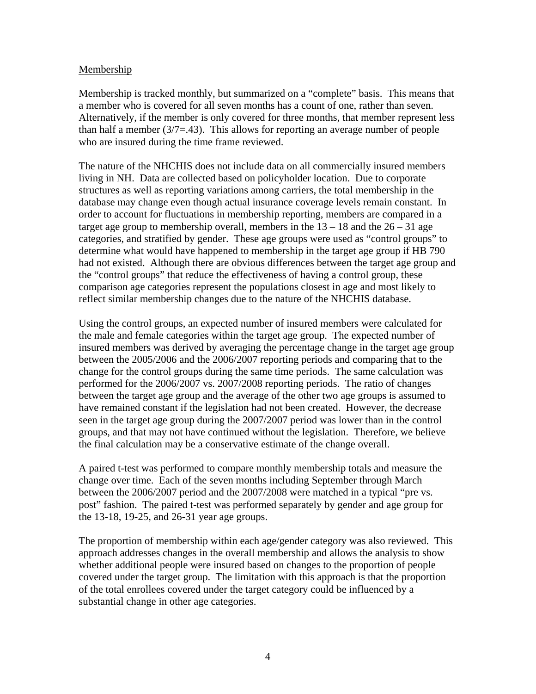## **Membership**

Membership is tracked monthly, but summarized on a "complete" basis. This means that a member who is covered for all seven months has a count of one, rather than seven. Alternatively, if the member is only covered for three months, that member represent less than half a member  $(3/7=43)$ . This allows for reporting an average number of people who are insured during the time frame reviewed.

The nature of the NHCHIS does not include data on all commercially insured members living in NH. Data are collected based on policyholder location. Due to corporate structures as well as reporting variations among carriers, the total membership in the database may change even though actual insurance coverage levels remain constant. In order to account for fluctuations in membership reporting, members are compared in a target age group to membership overall, members in the  $13 - 18$  and the  $26 - 31$  age categories, and stratified by gender. These age groups were used as "control groups" to determine what would have happened to membership in the target age group if HB 790 had not existed. Although there are obvious differences between the target age group and the "control groups" that reduce the effectiveness of having a control group, these comparison age categories represent the populations closest in age and most likely to reflect similar membership changes due to the nature of the NHCHIS database.

Using the control groups, an expected number of insured members were calculated for the male and female categories within the target age group. The expected number of insured members was derived by averaging the percentage change in the target age group between the 2005/2006 and the 2006/2007 reporting periods and comparing that to the change for the control groups during the same time periods. The same calculation was performed for the 2006/2007 vs. 2007/2008 reporting periods. The ratio of changes between the target age group and the average of the other two age groups is assumed to have remained constant if the legislation had not been created. However, the decrease seen in the target age group during the 2007/2007 period was lower than in the control groups, and that may not have continued without the legislation. Therefore, we believe the final calculation may be a conservative estimate of the change overall.

A paired t-test was performed to compare monthly membership totals and measure the change over time. Each of the seven months including September through March between the 2006/2007 period and the 2007/2008 were matched in a typical "pre vs. post" fashion. The paired t-test was performed separately by gender and age group for the 13-18, 19-25, and 26-31 year age groups.

The proportion of membership within each age/gender category was also reviewed. This approach addresses changes in the overall membership and allows the analysis to show whether additional people were insured based on changes to the proportion of people covered under the target group. The limitation with this approach is that the proportion of the total enrollees covered under the target category could be influenced by a substantial change in other age categories.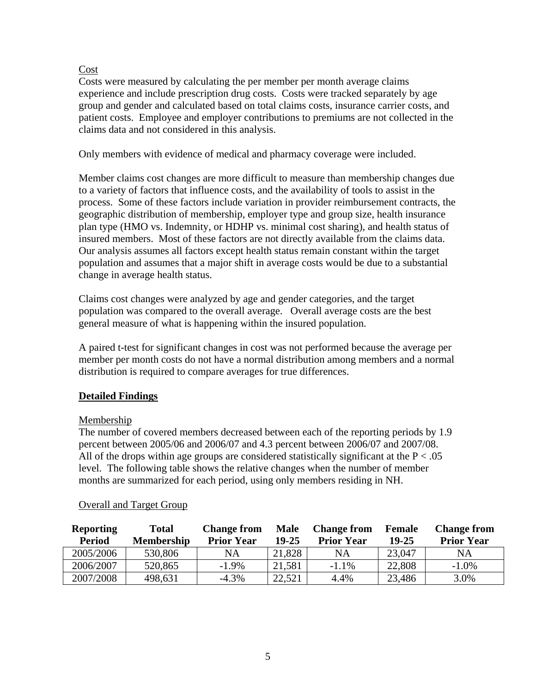# Cost

Costs were measured by calculating the per member per month average claims experience and include prescription drug costs. Costs were tracked separately by age group and gender and calculated based on total claims costs, insurance carrier costs, and patient costs. Employee and employer contributions to premiums are not collected in the claims data and not considered in this analysis.

Only members with evidence of medical and pharmacy coverage were included.

Member claims cost changes are more difficult to measure than membership changes due to a variety of factors that influence costs, and the availability of tools to assist in the process. Some of these factors include variation in provider reimbursement contracts, the geographic distribution of membership, employer type and group size, health insurance plan type (HMO vs. Indemnity, or HDHP vs. minimal cost sharing), and health status of insured members. Most of these factors are not directly available from the claims data. Our analysis assumes all factors except health status remain constant within the target population and assumes that a major shift in average costs would be due to a substantial change in average health status.

Claims cost changes were analyzed by age and gender categories, and the target population was compared to the overall average. Overall average costs are the best general measure of what is happening within the insured population.

A paired t-test for significant changes in cost was not performed because the average per member per month costs do not have a normal distribution among members and a normal distribution is required to compare averages for true differences.

# **Detailed Findings**

# Membership

The number of covered members decreased between each of the reporting periods by 1.9 percent between 2005/06 and 2006/07 and 4.3 percent between 2006/07 and 2007/08. All of the drops within age groups are considered statistically significant at the  $P < .05$ level. The following table shows the relative changes when the number of member months are summarized for each period, using only members residing in NH.

| <b>Reporting</b><br><b>Period</b> | <b>Total</b><br><b>Membership</b> | <b>Change from</b><br><b>Prior Year</b> | Male<br>19-25 | <b>Change from</b><br><b>Prior Year</b> | Female<br>$19 - 25$ | <b>Change from</b><br><b>Prior Year</b> |
|-----------------------------------|-----------------------------------|-----------------------------------------|---------------|-----------------------------------------|---------------------|-----------------------------------------|
| 2005/2006                         | 530,806                           | NA                                      | 21,828        | NA                                      | 23,047              | NA                                      |
| 2006/2007                         | 520,865                           | $-1.9\%$                                | 21,581        | $-1.1\%$                                | 22,808              | $-1.0%$                                 |
| 2007/2008                         | 498,631                           | $-4.3\%$                                | 22,521        | 4.4%                                    | 23,486              | 3.0%                                    |

# Overall and Target Group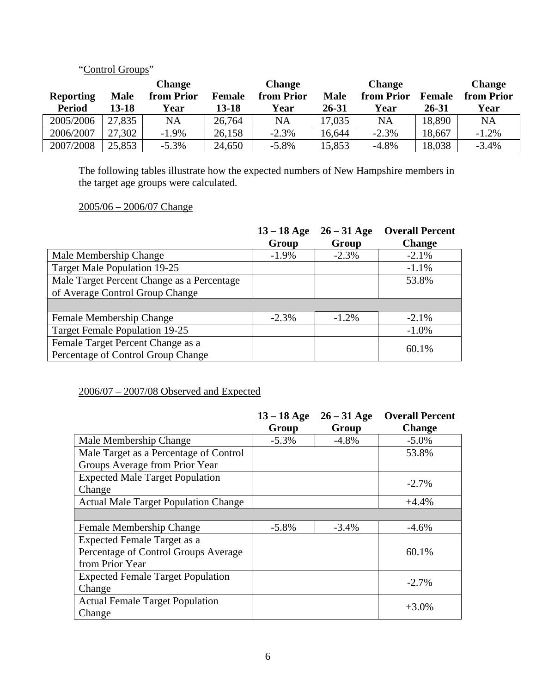# "Control Groups"

|                  |             | <b>Change</b> |               | <b>Change</b> |             | <b>Change</b> |               | <b>Change</b> |
|------------------|-------------|---------------|---------------|---------------|-------------|---------------|---------------|---------------|
| <b>Reporting</b> | <b>Male</b> | from Prior    | <b>Female</b> | from Prior    | <b>Male</b> | from Prior    | <b>Female</b> | from Prior    |
| <b>Period</b>    | 13-18       | Year          | 13-18         | Year          | 26-31       | Year          | 26-31         | Year          |
| 2005/2006        | 27,835      | <b>NA</b>     | 26,764        | NA            | 17,035      | NA            | 18,890        | NA            |
| 2006/2007        | 27,302      | $-1.9\%$      | 26,158        | $-2.3%$       | 16,644      | $-2.3%$       | 18,667        | $-1.2%$       |
| 2007/2008        | 25,853      | $-5.3\%$      | 24,650        | $-5.8\%$      | 15,853      | $-4.8%$       | 18,038        | $-3.4%$       |

The following tables illustrate how the expected numbers of New Hampshire members in the target age groups were calculated.

## 2005/06 – 2006/07 Change

|                                            | $13 - 18$ Age | $26 - 31$ Age | <b>Overall Percent</b> |
|--------------------------------------------|---------------|---------------|------------------------|
|                                            | Group         | Group         | <b>Change</b>          |
| Male Membership Change                     | $-1.9\%$      | $-2.3%$       | $-2.1\%$               |
| <b>Target Male Population 19-25</b>        |               |               | $-1.1\%$               |
| Male Target Percent Change as a Percentage |               |               | 53.8%                  |
| of Average Control Group Change            |               |               |                        |
|                                            |               |               |                        |
| Female Membership Change                   | $-2.3%$       | $-1.2\%$      | $-2.1%$                |
| <b>Target Female Population 19-25</b>      |               |               | $-1.0\%$               |
| Female Target Percent Change as a          |               |               | 60.1%                  |
| Percentage of Control Group Change         |               |               |                        |

# 2006/07 – 2007/08 Observed and Expected

|                                             | $13 - 18$ Age | $26 - 31$ Age | <b>Overall Percent</b> |
|---------------------------------------------|---------------|---------------|------------------------|
|                                             | Group         | Group         | <b>Change</b>          |
| Male Membership Change                      | $-5.3\%$      | $-4.8\%$      | $-5.0\%$               |
| Male Target as a Percentage of Control      |               |               | 53.8%                  |
| Groups Average from Prior Year              |               |               |                        |
| <b>Expected Male Target Population</b>      |               |               | $-2.7\%$               |
| Change                                      |               |               |                        |
| <b>Actual Male Target Population Change</b> |               |               | $+4.4%$                |
|                                             |               |               |                        |
| Female Membership Change                    | $-5.8\%$      | $-3.4%$       | $-4.6%$                |
| Expected Female Target as a                 |               |               |                        |
| Percentage of Control Groups Average        |               |               | 60.1%                  |
| from Prior Year                             |               |               |                        |
| <b>Expected Female Target Population</b>    |               |               | $-2.7\%$               |
| Change                                      |               |               |                        |
| <b>Actual Female Target Population</b>      |               |               | $+3.0%$                |
| Change                                      |               |               |                        |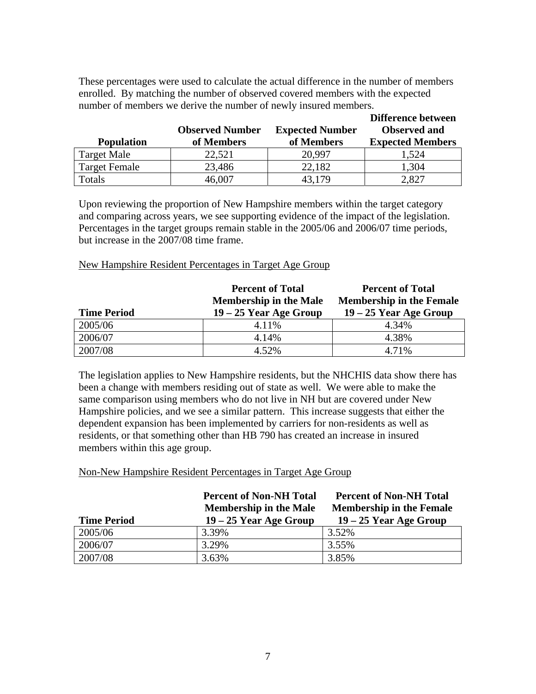These percentages were used to calculate the actual difference in the number of members enrolled. By matching the number of observed covered members with the expected number of members we derive the number of newly insured members.

| <b>Population</b>    | <b>Observed Number</b><br>of Members | <b>Expected Number</b><br>of Members | Difference between<br><b>Observed</b> and<br><b>Expected Members</b> |
|----------------------|--------------------------------------|--------------------------------------|----------------------------------------------------------------------|
| <b>Target Male</b>   | 22,521                               | 20,997                               | 1,524                                                                |
| <b>Target Female</b> | 23,486                               | 22,182                               | 1,304                                                                |
| Totals               | 46,007                               | 43.179                               | 2,827                                                                |

Upon reviewing the proportion of New Hampshire members within the target category and comparing across years, we see supporting evidence of the impact of the legislation. Percentages in the target groups remain stable in the 2005/06 and 2006/07 time periods, but increase in the 2007/08 time frame.

#### New Hampshire Resident Percentages in Target Age Group

|                    | <b>Percent of Total</b><br><b>Membership in the Male</b> | <b>Percent of Total</b><br><b>Membership in the Female</b> |
|--------------------|----------------------------------------------------------|------------------------------------------------------------|
| <b>Time Period</b> | $19 - 25$ Year Age Group                                 | $19 - 25$ Year Age Group                                   |
| 2005/06            | 4.11%                                                    | 4.34%                                                      |
| 2006/07            | 4.14%                                                    | 4.38%                                                      |
| 2007/08            | 4.52%                                                    | 4.71%                                                      |

The legislation applies to New Hampshire residents, but the NHCHIS data show there has been a change with members residing out of state as well. We were able to make the same comparison using members who do not live in NH but are covered under New Hampshire policies, and we see a similar pattern. This increase suggests that either the dependent expansion has been implemented by carriers for non-residents as well as residents, or that something other than HB 790 has created an increase in insured members within this age group.

#### Non-New Hampshire Resident Percentages in Target Age Group

| <b>Time Period</b> | <b>Percent of Non-NH Total</b><br><b>Membership in the Male</b><br>$19 - 25$ Year Age Group | <b>Percent of Non-NH Total</b><br><b>Membership in the Female</b><br>$19 - 25$ Year Age Group |
|--------------------|---------------------------------------------------------------------------------------------|-----------------------------------------------------------------------------------------------|
| 2005/06            | 3.39%                                                                                       | 3.52%                                                                                         |
| 2006/07            | 3.29%                                                                                       | 3.55%                                                                                         |
| 2007/08            | 3.63%                                                                                       | 3.85%                                                                                         |